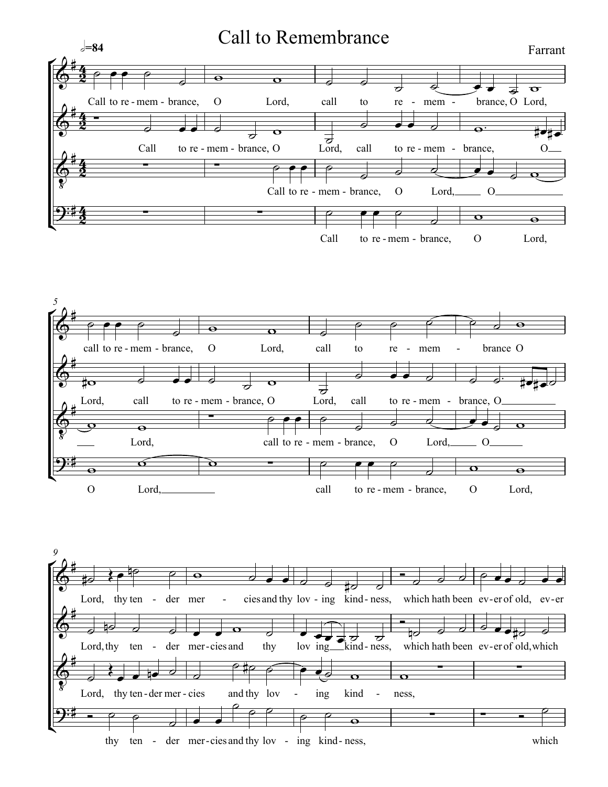## Call to Remembrance